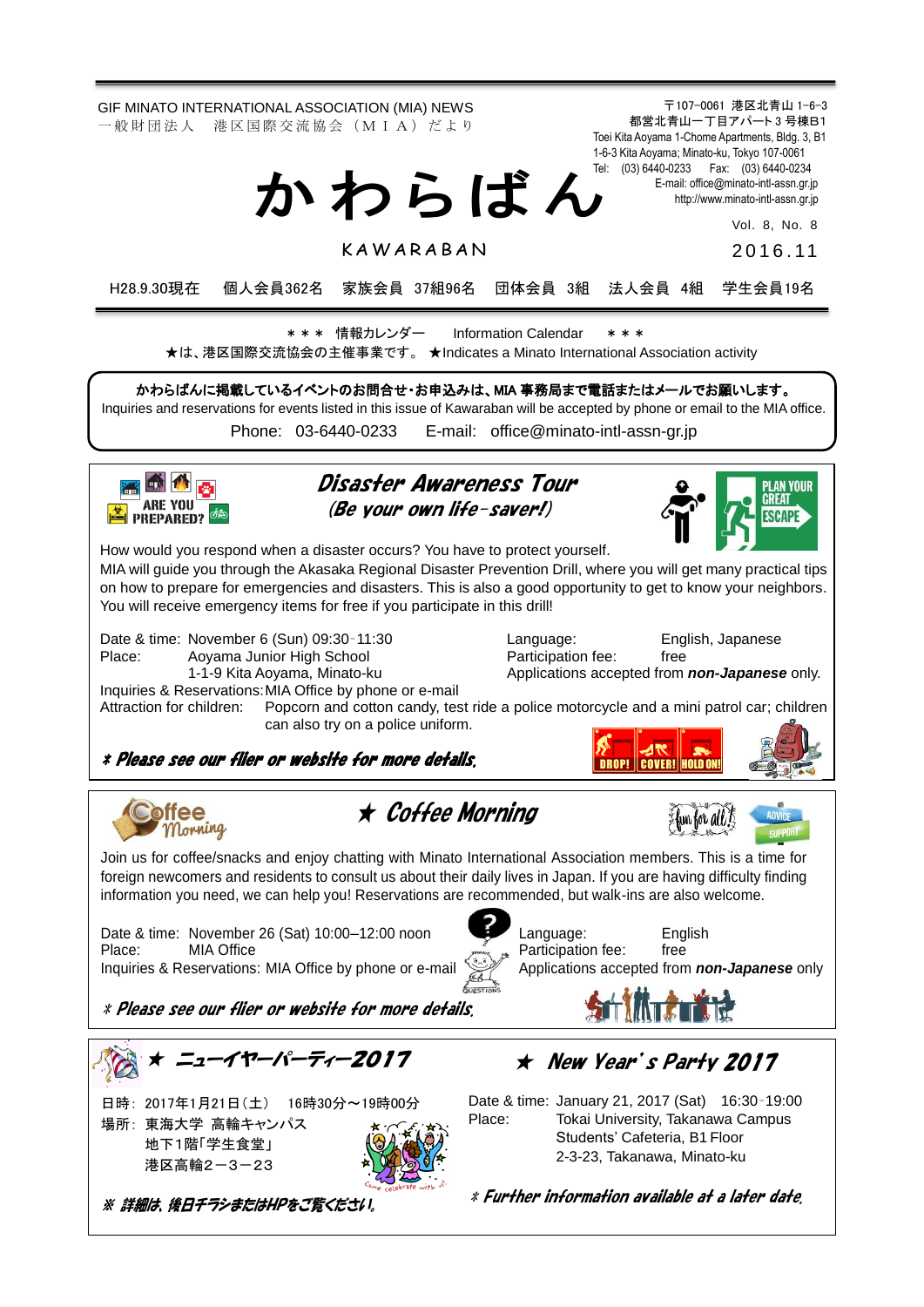